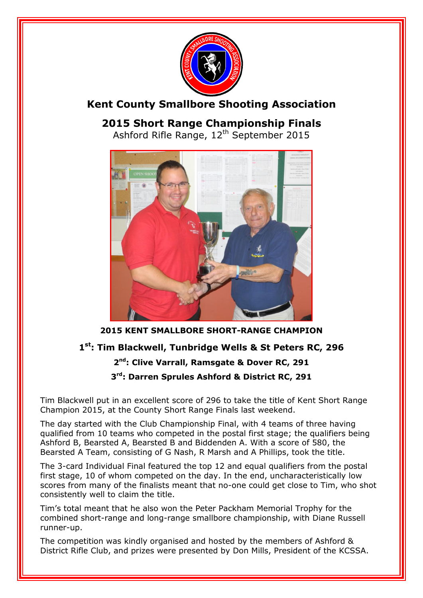

# **Kent County Smallbore Shooting Association**

**2015 Short Range Championship Finals** Ashford Rifle Range, 12<sup>th</sup> September 2015



**2015 KENT SMALLBORE SHORT-RANGE CHAMPION**

# **1 st: Tim Blackwell, Tunbridge Wells & St Peters RC, 296**

# **2 nd: Clive Varrall, Ramsgate & Dover RC, 291**

**3 rd: Darren Sprules Ashford & District RC, 291**

Tim Blackwell put in an excellent score of 296 to take the title of Kent Short Range Champion 2015, at the County Short Range Finals last weekend.

The day started with the Club Championship Final, with 4 teams of three having qualified from 10 teams who competed in the postal first stage; the qualifiers being Ashford B, Bearsted A, Bearsted B and Biddenden A. With a score of 580, the Bearsted A Team, consisting of G Nash, R Marsh and A Phillips, took the title.

The 3-card Individual Final featured the top 12 and equal qualifiers from the postal first stage, 10 of whom competed on the day. In the end, uncharacteristically low scores from many of the finalists meant that no-one could get close to Tim, who shot consistently well to claim the title.

Tim's total meant that he also won the Peter Packham Memorial Trophy for the combined short-range and long-range smallbore championship, with Diane Russell runner-up.

The competition was kindly organised and hosted by the members of Ashford & District Rifle Club, and prizes were presented by Don Mills, President of the KCSSA.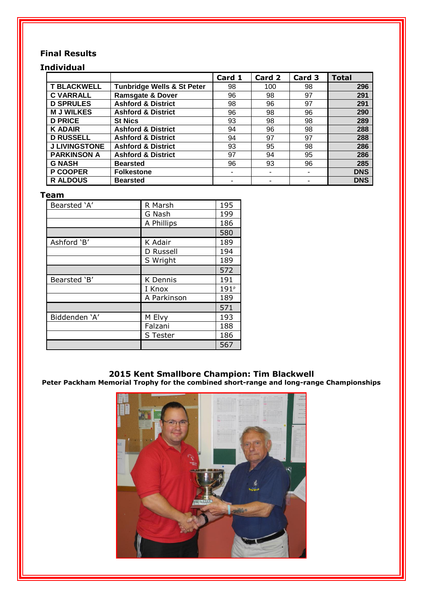### **Final Results**

#### **Individual Card 1 Card 2 Card 3 Total T BLACKWELL Tunbridge Wells & St Peter** 98 100 98 296<br> **C VARRALL** Ramsgate & Dover 96 98 97 291 **Ramsgate & Dover** 96 98 97 **D SPRULES** Ashford & District 1 98 96 97 291 **M J WILKES Ashford & District** 96 98 96 290<br> **D PRICE** St Nics 93 98 98 289 **D PRICE St Nics** 93 98 98 **289 K ADAIR Ashford & District** 94 96 98 288<br> **D RUSSELL Ashford & District** 94 97 97 288 **D RUSSELL Ashford & District** 94 97 97 **288 J LIVINGSTONE Ashford & District** 93 95 98<br> **PARKINSON A** Ashford & District 97 94 95 **Ashford & District 1 97 94 95 286 G NASH Bearsted** 96 93 96 **285** P COOPER Folkestone **Folkestone Folkestone Folkestone Folkestone** R ALDOUS | Bearsted | - | - | - | DNS

#### **Team**

| Bearsted 'A'  | R Marsh         | 195              |
|---------------|-----------------|------------------|
|               | G Nash          | 199              |
|               | A Phillips      | 186              |
|               |                 | 580              |
| Ashford 'B'   | K Adair         | 189              |
|               | D Russell       | 194              |
|               | S Wright        | 189              |
|               |                 | 572              |
| Bearsted 'B'  | <b>K</b> Dennis | 191              |
|               | I Knox          | 191 <sup>p</sup> |
|               | A Parkinson     | 189              |
|               |                 | 571              |
| Biddenden 'A' | M Elvy          | 193              |
|               | Falzani         | 188              |
|               | S Tester        | 186              |
|               |                 | 567              |

#### **2015 Kent Smallbore Champion: Tim Blackwell**

**Peter Packham Memorial Trophy for the combined short-range and long-range Championships**

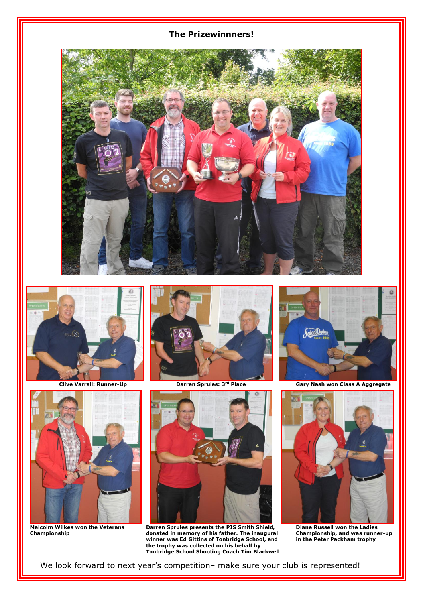#### **The Prizewinnners!**











**Malcolm Wilkes won the Veterans Darren Sprules presents the PJS Smith Shield, Diane Russell won the Ladies Championship donated in memory of his father. The inaugural Championship, and was runner-up winner was Ed Gittins of Tonbridge School, and in the Peter Packham trophy the trophy was collected on his behalf by Tonbridge School Shooting Coach Tim Blackwell**



 **Clive Varrall: Runner-Up Darren Sprules: 3rd Place Gary Nash won Class A Aggregate**



We look forward to next year's competition– make sure your club is represented!